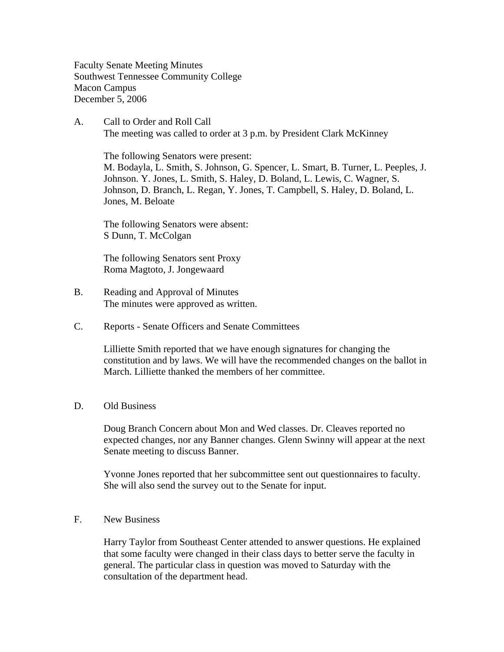Faculty Senate Meeting Minutes Southwest Tennessee Community College Macon Campus December 5, 2006

A. Call to Order and Roll Call The meeting was called to order at 3 p.m. by President Clark McKinney

 The following Senators were present: M. Bodayla, L. Smith, S. Johnson, G. Spencer, L. Smart, B. Turner, L. Peeples, J. Johnson. Y. Jones, L. Smith, S. Haley, D. Boland, L. Lewis, C. Wagner, S. Johnson, D. Branch, L. Regan, Y. Jones, T. Campbell, S. Haley, D. Boland, L. Jones, M. Beloate

The following Senators were absent: S Dunn, T. McColgan

The following Senators sent Proxy Roma Magtoto, J. Jongewaard

- B. Reading and Approval of Minutes The minutes were approved as written.
- C. Reports Senate Officers and Senate Committees

Lilliette Smith reported that we have enough signatures for changing the constitution and by laws. We will have the recommended changes on the ballot in March. Lilliette thanked the members of her committee.

## D. Old Business

Doug Branch Concern about Mon and Wed classes. Dr. Cleaves reported no expected changes, nor any Banner changes. Glenn Swinny will appear at the next Senate meeting to discuss Banner.

Yvonne Jones reported that her subcommittee sent out questionnaires to faculty. She will also send the survey out to the Senate for input.

F. New Business

Harry Taylor from Southeast Center attended to answer questions. He explained that some faculty were changed in their class days to better serve the faculty in general. The particular class in question was moved to Saturday with the consultation of the department head.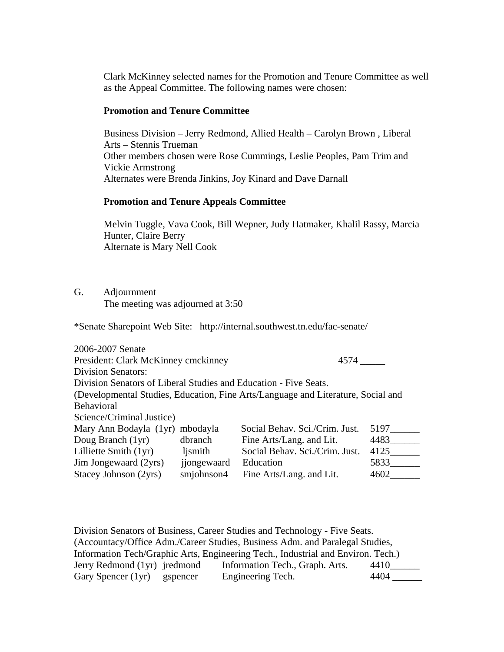Clark McKinney selected names for the Promotion and Tenure Committee as well as the Appeal Committee. The following names were chosen:

## **Promotion and Tenure Committee**

Business Division – Jerry Redmond, Allied Health – Carolyn Brown , Liberal Arts – Stennis Trueman Other members chosen were Rose Cummings, Leslie Peoples, Pam Trim and Vickie Armstrong Alternates were Brenda Jinkins, Joy Kinard and Dave Darnall

## **Promotion and Tenure Appeals Committee**

Melvin Tuggle, Vava Cook, Bill Wepner, Judy Hatmaker, Khalil Rassy, Marcia Hunter, Claire Berry Alternate is Mary Nell Cook

G. Adjournment

The meeting was adjourned at 3:50

\*Senate Sharepoint Web Site: http://internal.southwest.tn.edu/fac-senate/

| 2006-2007 Senate                                                                 |             |                                |      |  |
|----------------------------------------------------------------------------------|-------------|--------------------------------|------|--|
| President: Clark McKinney cmckinney                                              |             | 4574                           |      |  |
| <b>Division Senators:</b>                                                        |             |                                |      |  |
| Division Senators of Liberal Studies and Education - Five Seats.                 |             |                                |      |  |
| (Developmental Studies, Education, Fine Arts/Language and Literature, Social and |             |                                |      |  |
| <b>Behavioral</b>                                                                |             |                                |      |  |
| Science/Criminal Justice)                                                        |             |                                |      |  |
| Mary Ann Bodayla (1yr) mbodayla                                                  |             | Social Behav. Sci./Crim. Just. | 5197 |  |
| Doug Branch (1yr)                                                                | dbranch     | Fine Arts/Lang. and Lit.       | 4483 |  |
| Lilliette Smith (1yr)                                                            | ljsmith     | Social Behav. Sci./Crim. Just. | 4125 |  |
| Jim Jongewaard (2yrs)                                                            | jjongewaard | Education                      | 5833 |  |
| Stacey Johnson (2yrs)                                                            | smjohnson4  | Fine Arts/Lang. and Lit.       | 4602 |  |

Division Senators of Business, Career Studies and Technology - Five Seats. (Accountacy/Office Adm./Career Studies, Business Adm. and Paralegal Studies, Information Tech/Graphic Arts, Engineering Tech., Industrial and Environ. Tech.) Jerry Redmond (1yr) jredmond Information Tech., Graph. Arts. 4410\_\_\_\_\_\_ Gary Spencer (1yr) gspencer Engineering Tech. 4404 \_\_\_\_\_\_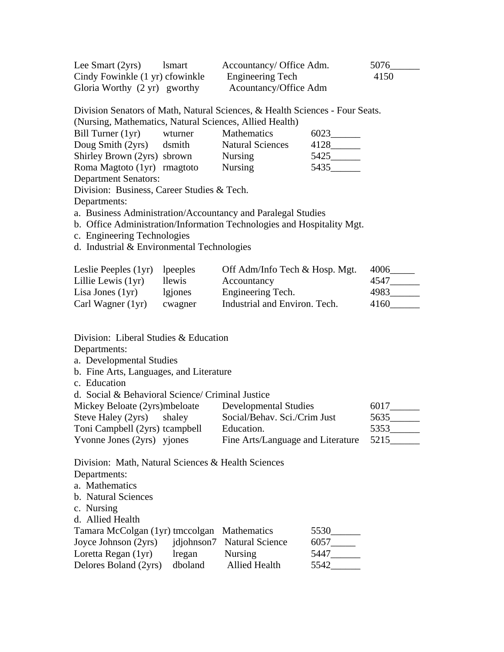| Lee Smart $(2yrs)$                     | <b>Ismart</b> | Accountancy/ Office Adm. | 5076 |
|----------------------------------------|---------------|--------------------------|------|
| Cindy Fowinkle (1 yr) cfowinkle        |               | <b>Engineering Tech</b>  | 4150 |
| Gloria Worthy $(2 \text{ yr})$ gworthy |               | Acountancy/Office Adm    |      |

Division Senators of Math, Natural Sciences, & Health Sciences - Four Seats. (Nursing, Mathematics, Natural Sciences, Allied Health)

| $\left($ . We can get a second converse of a two waves to wave to a simple state of a second $\left($ |         |                         |      |
|-------------------------------------------------------------------------------------------------------|---------|-------------------------|------|
| Bill Turner (1yr)                                                                                     | wturner | <b>Mathematics</b>      | 6023 |
| Doug Smith (2yrs)                                                                                     | dsmith  | <b>Natural Sciences</b> | 4128 |
| Shirley Brown (2yrs) sbrown                                                                           |         | <b>Nursing</b>          | 5425 |
| Roma Magtoto (1yr) rmagtoto                                                                           |         | <b>Nursing</b>          | 5435 |
| <b>Department Senators:</b>                                                                           |         |                         |      |

Division: Business, Career Studies & Tech.

Departments:

a. Business Administration/Accountancy and Paralegal Studies

b. Office Administration/Information Technologies and Hospitality Mgt.

c. Engineering Technologies

d. Industrial & Environmental Technologies

| Leslie Peeples $(1yr)$ lpeeples |         | Off Adm/Info Tech & Hosp. Mgt. | 4006 |
|---------------------------------|---------|--------------------------------|------|
| Lillie Lewis $(1yr)$            | llewis  | Accountancy                    | 4547 |
| Lisa Jones $(1yr)$              | lgiones | Engineering Tech.              | 4983 |
| Carl Wagner (1yr)               | cwagner | Industrial and Environ. Tech.  | 4160 |

Division: Liberal Studies & Education

Departments:

a. Developmental Studies

- b. Fine Arts, Languages, and Literature
- c. Education

d. Social & Behavioral Science/ Criminal Justice

| Mickey Beloate (2yrs)mbeloate  | Developmental Studies             | 6017 |
|--------------------------------|-----------------------------------|------|
| Steve Haley (2yrs) shaley      | Social/Behav. Sci./Crim Just      | 5635 |
| Toni Campbell (2yrs) tcampbell | Education.                        | 5353 |
| Yvonne Jones (2yrs) yjones     | Fine Arts/Language and Literature | 5215 |

Division: Math, Natural Sciences & Health Sciences

Departments:

a. Mathematics

- b. Natural Sciences
- c. Nursing

d. Allied Health

| Tamara McColgan (1yr) tmccolgan Mathematics |         |                            | 5530 |
|---------------------------------------------|---------|----------------------------|------|
| Joyce Johnson (2yrs)                        |         | idjohnson7 Natural Science | 6057 |
| Loretta Regan (1yr)                         | Iregan  | <b>Nursing</b>             | 5447 |
| Delores Boland (2yrs)                       | dboland | <b>Allied Health</b>       | 5542 |